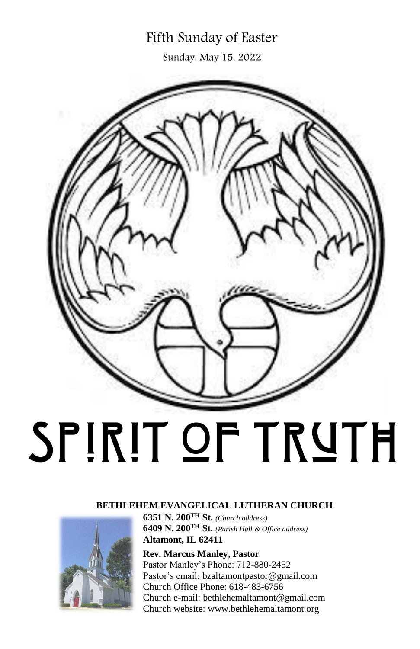# Fifth Sunday of Easter

Sunday, May 15, 2022



#### **BETHLEHEM EVANGELICAL LUTHERAN CHURCH**



**6351 N. 200TH St.** *(Church address)* **6409 N. 200TH St.** *(Parish Hall & Office address)* **Altamont, IL 62411**

**Rev. Marcus Manley, Pastor** Pastor Manley's Phone: 712-880-2452 Pastor's email: [bzaltamontpastor@gmail.com](mailto:bzaltamontpastor@gmail.com) Church Office Phone: 618-483-6756 Church e-mail[: bethlehemaltamont@gmail.com](mailto:bethlehemaltamont@gmail.com) Church website: [www.bethlehemaltamont.org](http://www.bethlehemaltamont.org/)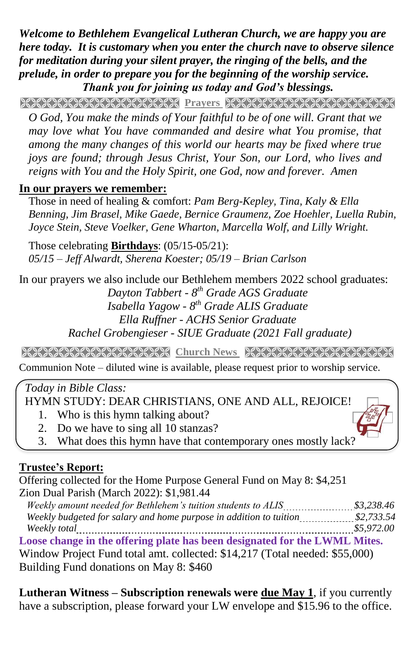*Welcome to Bethlehem Evangelical Lutheran Church, we are happy you are here today. It is customary when you enter the church nave to observe silence for meditation during your silent prayer, the ringing of the bells, and the prelude, in order to prepare you for the beginning of the worship service. Thank you for joining us today and God's blessings.*

Prayers and prayers and the process of the process of the process of the college of the college of the college of the college of the college of the college of the college of the college of the college of the college of the

*O God, You make the minds of Your faithful to be of one will. Grant that we may love what You have commanded and desire what You promise, that among the many changes of this world our hearts may be fixed where true joys are found; through Jesus Christ, Your Son, our Lord, who lives and reigns with You and the Holy Spirit, one God, now and forever. Amen*

### **In our prayers we remember:**

 Those in need of healing & comfort: *Pam Berg-Kepley, Tina, Kaly & Ella Benning, Jim Brasel, Mike Gaede, Bernice Graumenz, Zoe Hoehler, Luella Rubin, Joyce Stein, Steve Voelker, Gene Wharton, Marcella Wolf, and Lilly Wright.*

Those celebrating **Birthdays**: (05/15-05/21): *05/15 – Jeff Alwardt, Sherena Koester; 05/19 – Brian Carlson*

In our prayers we also include our Bethlehem members 2022 school graduates: *Dayton Tabbert - 8 th Grade AGS Graduate Isabella Yagow - 8 th Grade ALIS Graduate Ella Ruffner - ACHS Senior Graduate Rachel Grobengieser - SIUE Graduate (2021 Fall graduate)*

**Church News State Of State Arch News And State Arch News State Arch News State Arch News State Arch News State A** 

Communion Note – diluted wine is available, please request prior to worship service.

## *Today in Bible Class:*

**HYMN STUDY: DEAR CHRISTIANS, ONE AND ALL, REJOICE!** 

- 1. Who is this hymn talking about?
- 2. Do we have to sing all 10 stanzas?
- 3. What does this hymn have that contemporary ones mostly lack?

# **Trustee's Report:**

Offering collected for the Home Purpose General Fund on May 8: \$4,251 Zion Dual Parish (March 2022): \$1,981.44

 *Weekly amount needed for Bethlehem's tuition students to ALIS \$3,238.46 Weekly budgeted for salary and home purpose in addition to tuition \$2,733.54 Weekly total \$5,972.00* **Loose change in the offering plate has been designated for the LWML Mites.** Window Project Fund total amt. collected: \$14,217 (Total needed: \$55,000) Building Fund donations on May 8: \$460

**Lutheran Witness – Subscription renewals were due May 1**, if you currently have a subscription, please forward your LW envelope and \$15.96 to the office.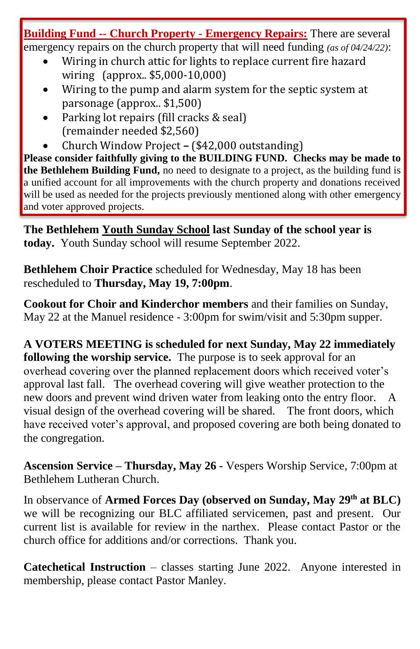**Building Fund -- Church Property - Emergency Repairs:** There are several emergency repairs on the church property that will need funding *(as of 04/24/22)*:

- Wiring in church attic for lights to replace current fire hazard wiring (approx.. \$5,000-10,000)
- Wiring to the pump and alarm system for the septic system at parsonage (approx.. \$1,500)
- Parking lot repairs (fill cracks & seal) (remainder needed \$2,560)
- Church Window Project **–** (\$42,000 outstanding)

**Please consider faithfully giving to the BUILDING FUND. Checks may be made to the Bethlehem Building Fund,** no need to designate to a project, as the building fund is a unified account for all improvements with the church property and donations received will be used as needed for the projects previously mentioned along with other emergency and voter approved projects.

**The Bethlehem Youth Sunday School last Sunday of the school year is today.** Youth Sunday school will resume September 2022.

**Bethlehem Choir Practice** scheduled for Wednesday, May 18 has been rescheduled to **Thursday, May 19, 7:00pm**.

**Cookout for Choir and Kinderchor members** and their families on Sunday, May 22 at the Manuel residence - 3:00pm for swim/visit and 5:30pm supper.

**A VOTERS MEETING is scheduled for next Sunday, May 22 immediately following the worship service.** The purpose is to seek approval for an overhead covering over the planned replacement doors which received voter's approval last fall. The overhead covering will give weather protection to the new doors and prevent wind driven water from leaking onto the entry floor. A visual design of the overhead covering will be shared. The front doors, which have received voter's approval, and proposed covering are both being donated to the congregation.

**Ascension Service – Thursday, May 26 -** Vespers Worship Service, 7:00pm at Bethlehem Lutheran Church.

In observance of **Armed Forces Day (observed on Sunday, May 29th at BLC)** we will be recognizing our BLC affiliated servicemen, past and present. Our current list is available for review in the narthex. Please contact Pastor or the church office for additions and/or corrections. Thank you.

**Catechetical Instruction** – classes starting June 2022. Anyone interested in membership, please contact Pastor Manley.